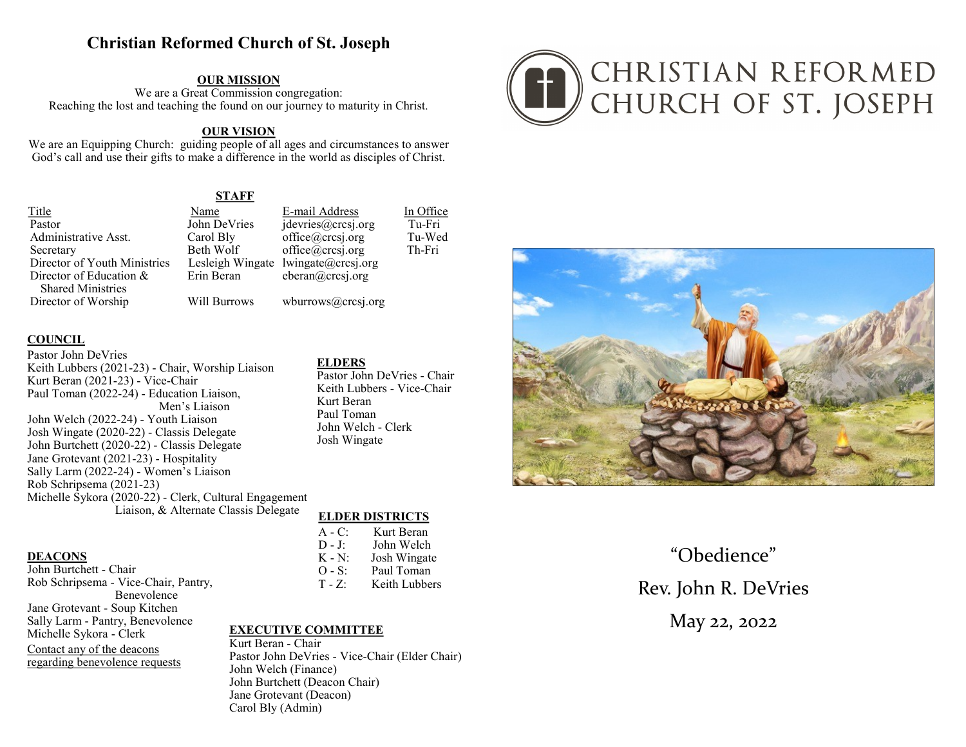# **Christian Reformed Church of St. Joseph**

**OUR MISSION** We are a Great Commission congregation: Reaching the lost and teaching the found on our journey to maturity in Christ.

### **OUR VISION**

We are an Equipping Church: guiding people of all ages and circumstances to answer God's call and use their gifts to make a difference in the world as disciples of Christ.

**STAFF** 

Title Pastor Administrative Asst. Secretary Director of Youth Ministries Director of Education & **Shared Ministries** Director of Worship

E-mail Address Name John DeVries jdevries@crcsj.org Carol Bly Beth Wolf Lesleigh Wingate Erin Beran

**Will Burrows** 

 $office@crcsj.org$ office@crcsj.org  $lwingate@crossi.org$ eberan@crcsj.org wburrows@crcsj.org

### **COUNCIL**

Pastor John DeVries Keith Lubbers (2021-23) - Chair, Worship Liaison Kurt Beran (2021-23) - Vice-Chair Paul Toman (2022-24) - Education Liaison, Men's Liaison John Welch (2022-24) - Youth Liaison Josh Wingate (2020-22) - Classis Delegate John Burtchett (2020-22) - Classis Delegate Jane Grotevant (2021-23) - Hospitality Sally Larm (2022-24) - Women's Liaison Rob Schripsema (2021-23) Michelle Sykora (2020-22) - Clerk, Cultural Engagement Liaison, & Alternate Classis Delegate

#### **DEACONS**

John Burtchett - Chair Rob Schripsema - Vice-Chair, Pantry, **Benevolence** Jane Grotevant - Soun Kitchen Sally Larm - Pantry, Benevolence Michelle Sykora - Clerk Contact any of the deacons regarding benevolence requests

### **ELDERS**

Pastor John DeVries - Chair Keith Lubbers - Vice-Chair Kurt Beran Paul Toman John Welch - Clerk Josh Wingate

In Office

Tu-Fri

Th-Fri

Tu-Wed

### **ELDER DISTRICTS**

 $A - C$ Kurt Beran  $D - I$ John Welch  $K - N$ : Josh Wingate  $O-S:$ Paul Toman Keith Lubbers  $T - Z$ :

## **EXECUTIVE COMMITTEE**

Kurt Beran - Chair Pastor John DeVries - Vice-Chair (Elder Chair) John Welch (Finance) John Burtchett (Deacon Chair) Jane Grotevant (Deacon) Carol Bly (Admin)





"Obedience" Rev. John R. DeVries May 22, 2022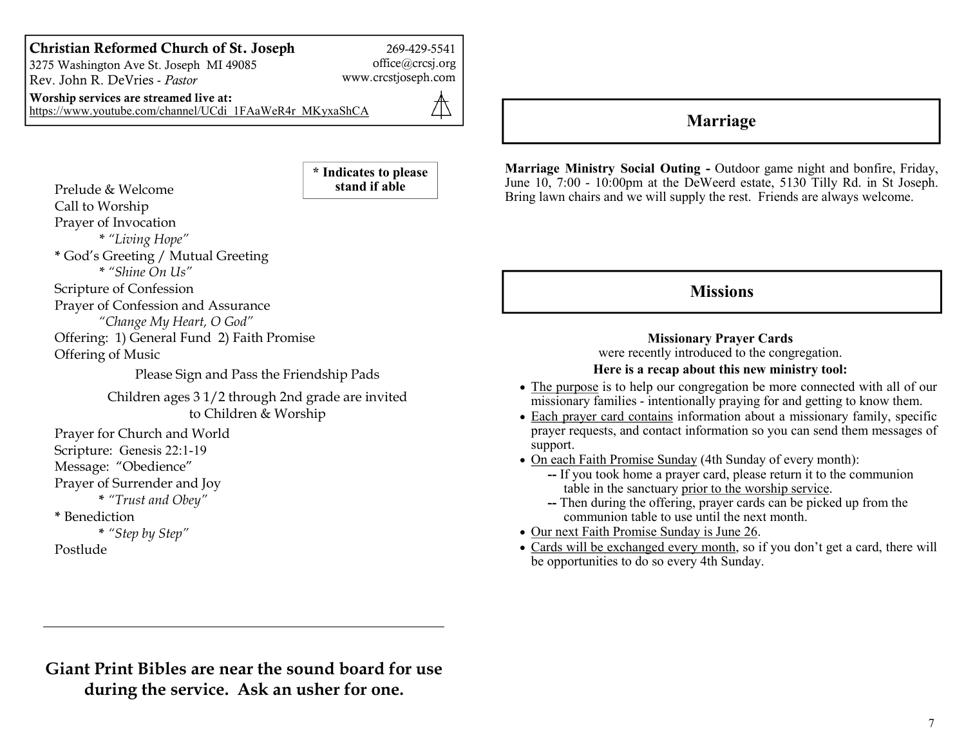## Christian Reformed Church of St. Joseph

3275 Washington Ave St. Joseph MI 49085 Rev. John R. DeVries - Pastor

269-429-5541 office@crcsj.org

www.crcstjoseph.com

\* Indicates to please

Worship services are streamed live at: https://www.youtube.com/channel/UCdi 1FAaWeR4r MKyxaShCA

⚠

Prelude & Welcome Call to Worship Prayer of Invocation \* "Living Hope" \* God's Greeting / Mutual Greeting \* "Shine On Us" Scripture of Confession Prayer of Confession and Assurance "Change My Heart, O God" Offering: 1) General Fund 2) Faith Promise Offering of Music Please Sign and Pass the Friendship Pads Children ages 3 1/2 through 2nd grade are invited to Children & Worship Prayer for Church and World Scripture: Genesis 22:1-19 Message: "Obedience" Prayer of Surrender and Joy \* "Trust and Obey" \* Benediction stand if able

\* "Step by Step"

Postlude

# Marriage

Marriage Ministry Social Outing - Outdoor game night and bonfire, Friday, June  $10$ ,  $7:00$  -  $10:00$ pm at the DeWeerd estate,  $5130$  Tilly Rd. in St Joseph. Bring lawn chairs and we will supply the rest. Friends are always welcome.

# **Missions**

**Missionary Prayer Cards** were recently introduced to the congregation.

## Here is a recap about this new ministry tool:

- The purpose is to help our congregation be more connected with all of our  $\overline{\text{missing}}$  families - intentionally praying for and getting to know them.
- $\bullet$  Each prayer card contains information about a missionary family, specific prayer requests, and contact information so you can send them messages of support.
- On each Faith Promise Sunday (4th Sunday of every month):
	- -- If you took home a prayer card, please return it to the communion table in the sanctuary prior to the worship service.
	- $-$  Then during the offering, prayer cards can be picked up from the communion table to use until the next month.
- Our next Faith Promise Sunday is June 26.
- Cards will be exchanged every month, so if you don't get a card, there will be opportunities to do so every 4th Sunday.

Giant Print Bibles are near the sound board for use during the service. Ask an usher for one.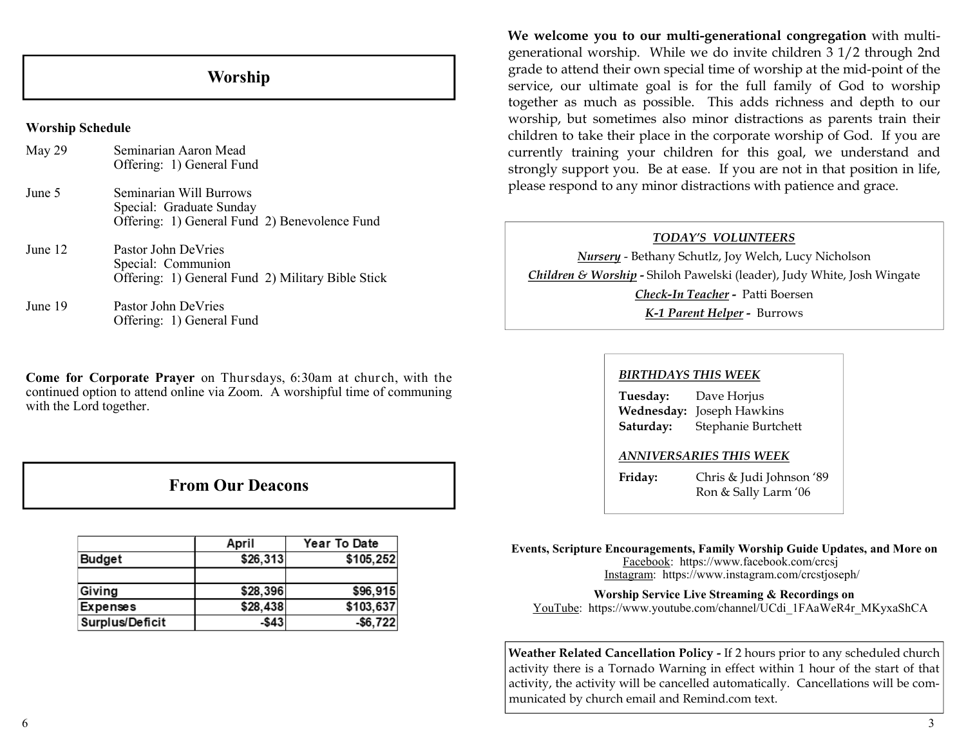# Worship

### Worship Schedule

| May 29  | Seminarian Aaron Mead<br>Offering: 1) General Fund                                                   |
|---------|------------------------------------------------------------------------------------------------------|
| June 5  | Seminarian Will Burrows<br>Special: Graduate Sunday<br>Offering: 1) General Fund 2) Benevolence Fund |
| June 12 | Pastor John DeVries<br>Special: Communion<br>Offering: 1) General Fund 2) Military Bible Stick       |
| June 19 | Pastor John DeVries<br>Offering: 1) General Fund                                                     |

Come for Corporate Prayer on Thursdays, 6:30am at church, with the continued option to attend online via Zoom. A worshipful time of communing with the Lord together.

## **From Our Deacons**

|                 | April    | Year To Date |
|-----------------|----------|--------------|
| <b>Budget</b>   | \$26,313 | \$105,252    |
|                 |          |              |
| Giving          | \$28,396 | \$96,915     |
| <b>Expenses</b> | \$28,438 | \$103,637    |
| Surplus/Deficit | -\$43    | $-$ \$6,722  |

We welcome you to our multi-generational congregation with multigenerational worship. While we do invite children 3 1/2 through 2nd grade to attend their own special time of worship at the mid-point of the service, our ultimate goal is for the full family of God to worship together as much as possible. This adds richness and depth to our worship, but sometimes also minor distractions as parents train their children to take their place in the corporate worship of God. If you are currently training your children for this goal, we understand and strongly support you. Be at ease. If you are not in that position in life, please respond to any minor distractions with patience and grace.

## TODAY'S VOLUNTEERS

Nursery - Bethany Schutlz, Joy Welch, Lucy Nicholson Children & Worship - Shiloh Pawelski (leader), Judy White, Josh Wingate Check-In Teacher - Patti Boersen K-1 Parent Helper - Burrows

### BIRTHDAYS THIS WEEK

Tuesday: Dave Horjus Wednesday: Joseph Hawkins Saturday: Stephanie Burtchett

## ANNIVERSARIES THIS WEEK

Friday: Chris & Judi Johnson '89 Ron & Sally Larm '06

#### Events, Scripture Encouragements, Family Worship Guide Updates, and More on Facebook: https://www.facebook.com/crcsj Instagram: https://www.instagram.com/crestjoseph/

### Worship Service Live Streaming & Recordings on

YouTube: https://www.youtube.com/channel/UCdi 1FAaWeR4r MKyxaShCA

Weather Related Cancellation Policy - If 2 hours prior to any scheduled church activity there is a Tornado Warning in effect within 1 hour of the start of that activity, the activity will be cancelled automatically. Cancellations will be communicated by church email and Remind.com text.